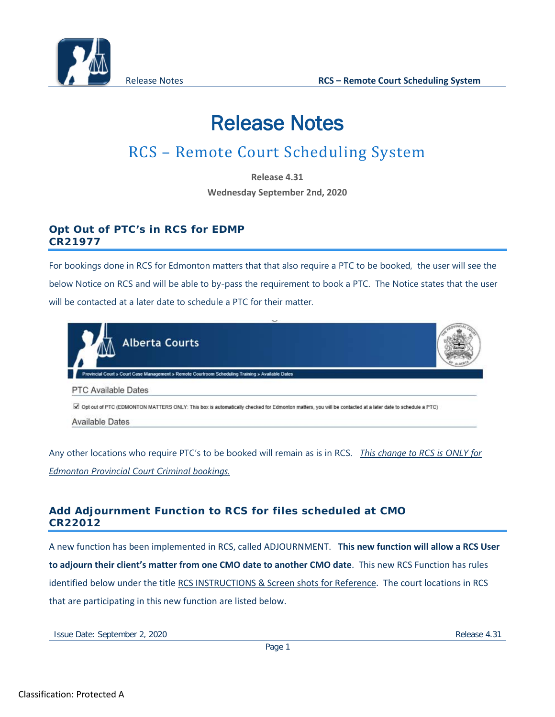

# Release Notes

# RCS – Remote Court Scheduling System

**Release 4.31 Wednesday September 2nd, 2020**

# **Opt Out of PTC's in RCS for EDMP CR21977**

For bookings done in RCS for Edmonton matters that that also require a PTC to be booked, the user will see the below Notice on RCS and will be able to by-pass the requirement to book a PTC. The Notice states that the user will be contacted at a later date to schedule a PTC for their matter.



**Available Dates** 

Any other locations who require PTC's to be booked will remain as is in RCS. *This change to RCS is ONLY for Edmonton Provincial Court Criminal bookings.*

# **Add Adjournment Function to RCS for files scheduled at CMO CR22012**

A new function has been implemented in RCS, called ADJOURNMENT. **This new function will allow a RCS User to adjourn their client's matter from one CMO date to another CMO date**. This new RCS Function has rules identified below under the title RCS INSTRUCTIONS & Screen shots for Reference. The court locations in RCS that are participating in this new function are listed below.

Issue Date: September 2, 2020 **Release 4.31** Release 4.31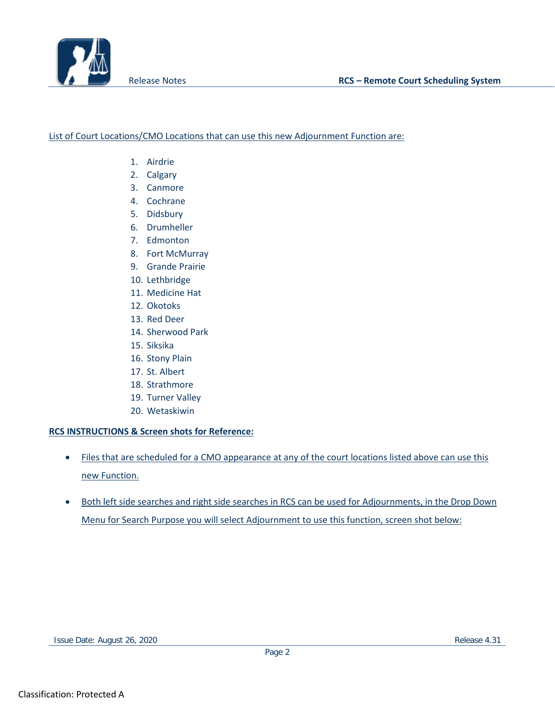

### List of Court Locations/CMO Locations that can use this new Adjournment Function are:

- 1. Airdrie
- 2. Calgary
- 3. Canmore
- 4. Cochrane
- 5. Didsbury
- 6. Drumheller
- 7. Edmonton
- 8. Fort McMurray
- 9. Grande Prairie
- 10. Lethbridge
- 11. Medicine Hat
- 12. Okotoks
- 13. Red Deer
- 14. Sherwood Park
- 15. Siksika
- 16. Stony Plain
- 17. St. Albert
- 18. Strathmore
- 19. Turner Valley
- 20. Wetaskiwin

### **RCS INSTRUCTIONS & Screen shots for Reference:**

- Files that are scheduled for a CMO appearance at any of the court locations listed above can use this new Function.
- Both left side searches and right side searches in RCS can be used for Adjournments, in the Drop Down Menu for Search Purpose you will select Adjournment to use this function, screen shot below: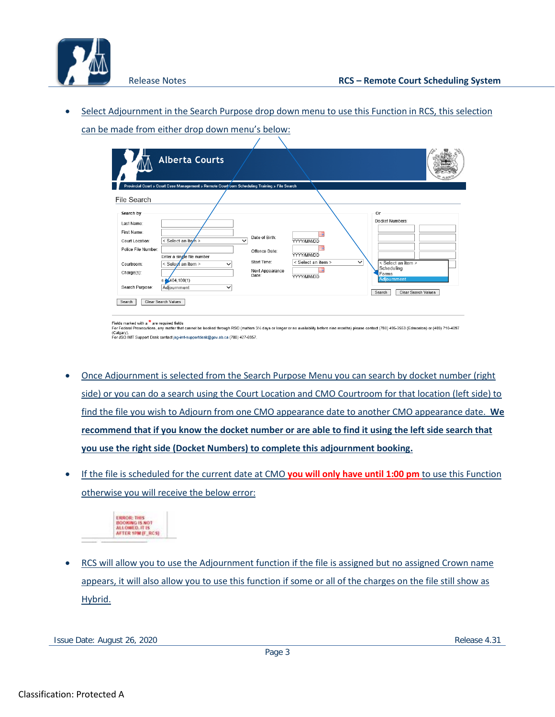

• Select Adjournment in the Search Purpose drop down menu to use this Function in RCS, this selection can be made from either drop down menu's below:

|                                                                                                                                 | <b>Alberta Courts</b>                                                                                                          |                                                                                            |                                                              |                                                                                                                                           |
|---------------------------------------------------------------------------------------------------------------------------------|--------------------------------------------------------------------------------------------------------------------------------|--------------------------------------------------------------------------------------------|--------------------------------------------------------------|-------------------------------------------------------------------------------------------------------------------------------------------|
| File Search                                                                                                                     | Provincial Court » Court Case Management » Remote Courtyoom Scheduling Training » File Search                                  |                                                                                            |                                                              |                                                                                                                                           |
| Search by<br>Last Name:<br>First Name:<br>Court Location:<br>Police File Number:<br>Courtroom:<br>Charge(s):<br>Search Purpose: | < Select an item ><br>Enter a single file number<br>< Seleof an item ><br>◡<br>$e.$ 404, 100(1)<br>Adiournment<br>$\checkmark$ | Date of Birth:<br>$\checkmark$<br>Offence Date:<br>Start Time:<br>Next Appearance<br>Date: | YYYY/MM/DD<br>YYYY/MM/DD<br>< Select an item ><br>YYYY/MM/DD | Or<br>Docket Numbers:<br>$\checkmark$<br>< Select an item ><br>Scheduling<br>Forms<br>Adjournment<br><b>Clear Search Values</b><br>Search |

(Calgary).<br>For JSG IMT Support Desk contact jsg-imt-supportdesk@gov.ab.ca (780) 427-6957.

- Once Adjournment is selected from the Search Purpose Menu you can search by docket number (right side) or you can do a search using the Court Location and CMO Courtroom for that location (left side) to find the file you wish to Adjourn from one CMO appearance date to another CMO appearance date. **We recommend that if you know the docket number or are able to find it using the left side search that you use the right side (Docket Numbers) to complete this adjournment booking.**
- If the file is scheduled for the current date at CMO **you will only have until 1:00 pm** to use this Function otherwise you will receive the below error:



• RCS will allow you to use the Adjournment function if the file is assigned but no assigned Crown name appears, it will also allow you to use this function if some or all of the charges on the file still show as Hybrid.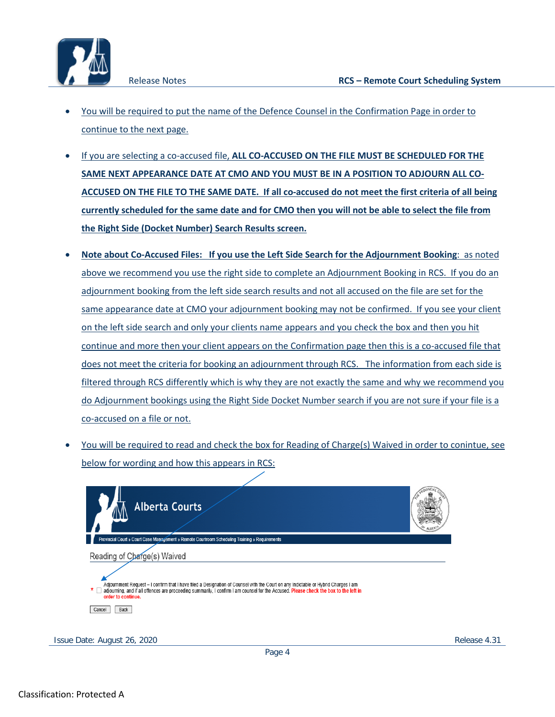

- You will be required to put the name of the Defence Counsel in the Confirmation Page in order to continue to the next page.
- If you are selecting a co-accused file, **ALL CO-ACCUSED ON THE FILE MUST BE SCHEDULED FOR THE SAME NEXT APPEARANCE DATE AT CMO AND YOU MUST BE IN A POSITION TO ADJOURN ALL CO-ACCUSED ON THE FILE TO THE SAME DATE. If all co-accused do not meet the first criteria of all being currently scheduled for the same date and for CMO then you will not be able to select the file from the Right Side (Docket Number) Search Results screen.**
- **Note about Co-Accused Files: If you use the Left Side Search for the Adjournment Booking**: as noted above we recommend you use the right side to complete an Adjournment Booking in RCS. If you do an adjournment booking from the left side search results and not all accused on the file are set for the same appearance date at CMO your adjournment booking may not be confirmed. If you see your client on the left side search and only your clients name appears and you check the box and then you hit continue and more then your client appears on the Confirmation page then this is a co-accused file that does not meet the criteria for booking an adjournment through RCS. The information from each side is filtered through RCS differently which is why they are not exactly the same and why we recommend you do Adjournment bookings using the Right Side Docket Number search if you are not sure if your file is a co-accused on a file or not.
- You will be required to read and check the box for Reading of Charge(s) Waived in order to conintue, see below for wording and how this appears in RCS:

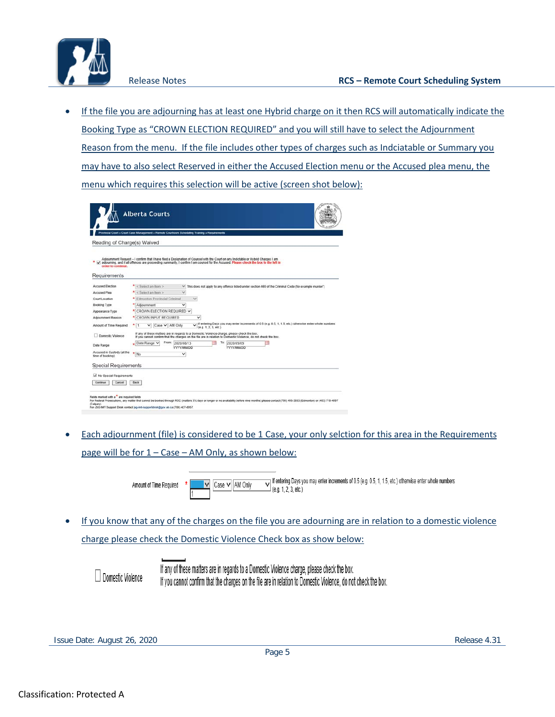

• If the file you are adjourning has at least one Hybrid charge on it then RCS will automatically indicate the Booking Type as "CROWN ELECTION REQUIRED" and you will still have to select the Adjournment Reason from the menu. If the file includes other types of charges such as Indciatable or Summary you may have to also select Reserved in either the Accused Election menu or the Accused plea menu, the menu which requires this selection will be active (screen shot below):

|                                                | Provincial Court > Court Case Management > Remote Courtroom Scheduling Training > Requirements                                                                                                                                                                              |                                 |                                      |                                                                                                         |  |
|------------------------------------------------|-----------------------------------------------------------------------------------------------------------------------------------------------------------------------------------------------------------------------------------------------------------------------------|---------------------------------|--------------------------------------|---------------------------------------------------------------------------------------------------------|--|
| Reading of Charge(s) Waived                    |                                                                                                                                                                                                                                                                             |                                 |                                      |                                                                                                         |  |
| order to continue.<br>Requirements             | Adjournment Request - I confirm that I have filed a Designation of Counsel with the Court on any Indictable or Hybrid Charges I am<br>adjourning, and if all offences are proceeding summarily. I confirm I am counsel for the Accused. Please check the box to the left in |                                 |                                      |                                                                                                         |  |
| Accused Election                               | <select an="" item=""></select>                                                                                                                                                                                                                                             |                                 |                                      | This does not apply to any offence listed under section 469 of the Criminal Code (for example murder")  |  |
| Accused Plea                                   | $* <$ Select an item >                                                                                                                                                                                                                                                      |                                 |                                      |                                                                                                         |  |
| Court Location                                 | * Edmonton Provincial Criminal                                                                                                                                                                                                                                              | $\checkmark$                    |                                      |                                                                                                         |  |
| Booking Type                                   | * Adjournment                                                                                                                                                                                                                                                               | $\checkmark$                    |                                      |                                                                                                         |  |
| Appearance Type                                | * CROWN ELECTION REQUIRED V                                                                                                                                                                                                                                                 |                                 |                                      |                                                                                                         |  |
| Adjournment Reason                             | * CROWN INPUT REQUIRED                                                                                                                                                                                                                                                      | $\checkmark$                    |                                      |                                                                                                         |  |
| Amount of Time Required                        | Case V AM Only<br>l1<br>$\checkmark$                                                                                                                                                                                                                                        |                                 | (a, a, 1, 2, 3, etc.)                | If entering Days you may enter increments of 0.5 (e.g. 0.5, 1, 1.5, etc.) otherwise enter whole numbers |  |
| Domestic Violence                              | If any of these matters are in regards to a Domestic Violence charge, please check the box.<br>If you cannot confirm that the charges on the file are in relation to Domestic Violence, do not check the box.                                                               |                                 |                                      |                                                                                                         |  |
| Date Range                                     | From:<br>Date Range Y                                                                                                                                                                                                                                                       | 2020/08/13<br><b>YYYY/MM/DD</b> | Tα<br>2020/09/09<br><b>YYYYMM/DD</b> |                                                                                                         |  |
| Accused in Custody (at the<br>time of booking) | ٠<br>No                                                                                                                                                                                                                                                                     | $\checkmark$                    |                                      |                                                                                                         |  |
| <b>Special Requirements</b>                    |                                                                                                                                                                                                                                                                             |                                 |                                      |                                                                                                         |  |
| V No Special Requirements                      |                                                                                                                                                                                                                                                                             |                                 |                                      |                                                                                                         |  |
|                                                | <b>Back</b>                                                                                                                                                                                                                                                                 |                                 |                                      |                                                                                                         |  |

• Each adjournment (file) is considered to be 1 Case, your only selction for this area in the Requirements page will be for 1 – Case – AM Only, as shown below:

> If entering Days you may enter increments of 0.5 (e.g. 0.5, 1, 1.5, etc.) otherwise enter whole numbers Amount of Time Required  $\vert \mathbf{v} \vert$  Case  $\mathbf{v} \vert$  AM Only  $\Box$  (e.g. 1, 2, 3, etc.)

• If you know that any of the charges on the file you are adourning are in relation to a domestic violence charge please check the Domestic Violence Check box as show below:

Domestic Violence

If any of these matters are in regards to a Domestic Violence charge, please check the box. If you cannot confirm that the charges on the file are in relation to Domestic Violence, do not check the box.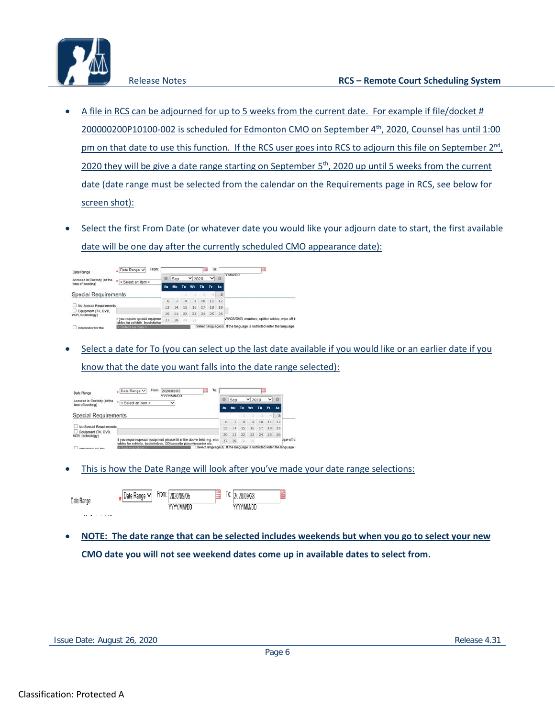

- A file in RCS can be adjourned for up to 5 weeks from the current date. For example if file/docket # 200000200P10100-002 is scheduled for Edmonton CMO on September 4<sup>th</sup>, 2020, Counsel has until 1:00 pm on that date to use this function. If the RCS user goes into RCS to adjourn this file on September  $2<sup>nd</sup>$ , 2020 they will be give a date range starting on September  $5<sup>th</sup>$ , 2020 up until 5 weeks from the current date (date range must be selected from the calendar on the Requirements page in RCS, see below for screen shot):
- Select the first From Date (or whatever date you would like your adjourn date to start, the first available date will be one day after the currently scheduled CMO appearance date):

| Date Range                                     | Date Range V<br>From:                                             |                 |     |    |           | ш                  | To:      |     | 曲                                                 |
|------------------------------------------------|-------------------------------------------------------------------|-----------------|-----|----|-----------|--------------------|----------|-----|---------------------------------------------------|
| Accused in Custody (at the<br>time of booking) | < Select an item >                                                | $\Omega$        | Sep |    | $V$ 2020  |                    | VQ       |     | <b>OCMMY Y</b>                                    |
|                                                |                                                                   | <b>Su</b>       | Mo  | Tu | We        | <b>Th</b>          | Tr.      | Sa: |                                                   |
| <b>Special Requirements</b>                    |                                                                   |                 |     |    |           |                    |          |     |                                                   |
|                                                |                                                                   | 6               |     | 8  | 9         | 10                 | 11       | 12  |                                                   |
| No Special Requirements                        |                                                                   | 13              |     | 15 | 16        | 17                 | 18       | 19  |                                                   |
| Equipment (TV, DVD)<br>VCR, technology)        |                                                                   | 20 <sub>1</sub> | 21  | 22 | 23        |                    | 24 25 26 |     |                                                   |
|                                                | If you require special equipme<br>tables for exhibits, bookshelve | 27              | 28  |    | $29 - 30$ |                    |          |     | V/VCR/DVD, monitors, splitter cables, wipe-off t; |
| Interpreter for the                            | < Solect an item >                                                |                 |     |    |           | Select language(s) |          |     | If the language is not listed enter the language  |

• Select a date for To (you can select up the last date available if you would like or an earlier date if you know that the date you want falls into the date range selected):

| Date Range                              | To:<br>From:<br>Date Range V<br>2020/09/05<br><b>YYYY/MM/DD</b>                                                                                  |    |     |       |               |       |    |                |           |
|-----------------------------------------|--------------------------------------------------------------------------------------------------------------------------------------------------|----|-----|-------|---------------|-------|----|----------------|-----------|
| Accused in Custody (at the              | $\star$<br>< Select an item ><br>$\checkmark$                                                                                                    | ۰  | Sep |       | $\times$ 2020 |       | ◡  | $\overline{0}$ |           |
| time of booking)                        |                                                                                                                                                  |    | Mo  | Tu    | We            | Th    | Fr | Sa             |           |
| <b>Special Requirements</b>             |                                                                                                                                                  |    |     |       |               |       |    |                |           |
|                                         |                                                                                                                                                  |    |     | 8     | $-9$          | $-10$ | 11 | 12             |           |
| No Special Requirements                 |                                                                                                                                                  |    | 14  | -15   | 16            | 17    | 18 | 19             |           |
| Equipment (TV, DVD,<br>VCR, technology) |                                                                                                                                                  | 20 | 21  | 22    | 23            | 24    |    | 25 26          |           |
|                                         | If you require special equipment please fill in the above field, e.g. easi<br>tables for exhibits, bookshelves. CD/cassette player/recorder etc. | 27 | 28  | $-20$ | $-30$         |       |    |                | npe-off t |
| <b>International Contract Street</b>    | Select language(s). If the language is not listed enter the language<br>Select an item >                                                         |    |     |       |               |       |    |                |           |

• This is how the Date Range will look after you've made your date range selections:

| Date Range | Date<br>Kange | From: | 2020/09/05 | Ō. | 2020/09/28 | m. |
|------------|---------------|-------|------------|----|------------|----|
|            |               |       | YYYY/MM/DD |    | w          |    |

• **NOTE: The date range that can be selected includes weekends but when you go to select your new CMO date you will not see weekend dates come up in available dates to select from.**

and a straight and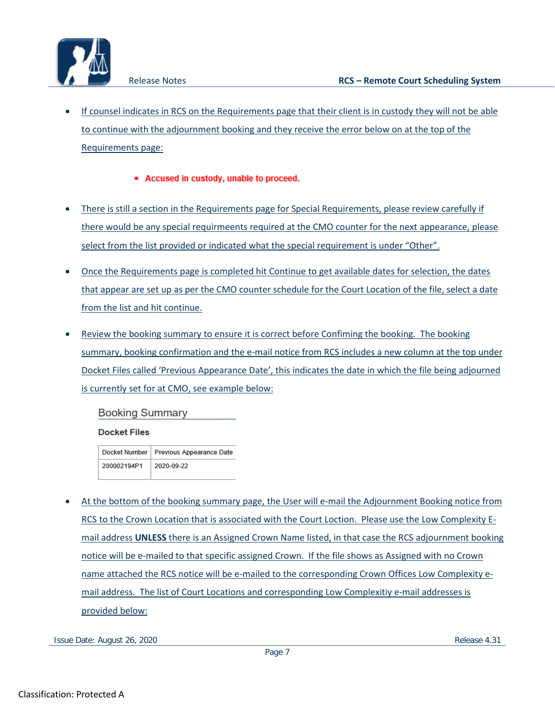- If counsel indicates in RCS on the Requirements page that their client is in custody they will not be able to continue with the adjournment booking and they receive the error below on at the top of the Requirements page:
	- Accused in custody, unable to proceed.
- There is still a section in the Requirements page for Special Requirements, please review carefully if there would be any special requirmeents required at the CMO counter for the next appearance, please select from the list provided or indicated what the special requirement is under "Other".
- Once the Requirements page is completed hit Continue to get available dates for selection, the dates that appear are set up as per the CMO counter schedule for the Court Location of the file, select a date from the list and hit continue.
- Review the booking summary to ensure it is correct before Confiming the booking. The booking summary, booking confirmation and the e-mail notice from RCS includes a new column at the top under Docket Files called 'Previous Appearance Date', this indicates the date in which the file being adjourned is currently set for at CMO, see example below:

**Booking Summary** 

## **Docket Files**

Docket Number | Previous Appearance Date 200002194P1 2020-09-22

• At the bottom of the booking summary page, the User will e-mail the Adjournment Booking notice from RCS to the Crown Location that is associated with the Court Loction. Please use the Low Complexity Email address **UNLESS** there is an Assigned Crown Name listed, in that case the RCS adjournment booking notice will be e-mailed to that specific assigned Crown. If the file shows as Assigned with no Crown name attached the RCS notice will be e-mailed to the corresponding Crown Offices Low Complexity email address. The list of Court Locations and corresponding Low Complexitiy e-mail addresses is provided below:

Issue Date: August 26, 2020 **Release 4.31** Release 4.31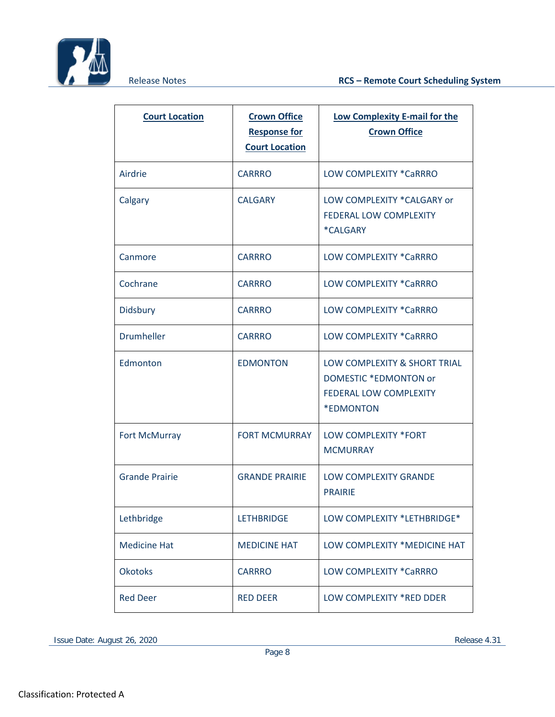

| <b>Court Location</b> | <b>Crown Office</b><br><b>Response for</b><br><b>Court Location</b> | Low Complexity E-mail for the<br><b>Crown Office</b>                                                                     |
|-----------------------|---------------------------------------------------------------------|--------------------------------------------------------------------------------------------------------------------------|
| Airdrie               | <b>CARRRO</b>                                                       | LOW COMPLEXITY *CaRRRO                                                                                                   |
| Calgary               | <b>CALGARY</b>                                                      | LOW COMPLEXITY *CALGARY or<br><b>FEDERAL LOW COMPLEXITY</b><br>*CALGARY                                                  |
| Canmore               | <b>CARRRO</b>                                                       | LOW COMPLEXITY *CaRRRO                                                                                                   |
| Cochrane              | <b>CARRRO</b>                                                       | LOW COMPLEXITY *CaRRRO                                                                                                   |
| Didsbury              | <b>CARRRO</b>                                                       | LOW COMPLEXITY *CaRRRO                                                                                                   |
| <b>Drumheller</b>     | <b>CARRRO</b>                                                       | LOW COMPLEXITY *CaRRRO                                                                                                   |
| Edmonton              | <b>EDMONTON</b>                                                     | LOW COMPLEXITY & SHORT TRIAL<br><b>DOMESTIC *EDMONTON or</b><br><b>FEDERAL LOW COMPLEXITY</b><br><i><b>*EDMONTON</b></i> |
| <b>Fort McMurray</b>  | <b>FORT MCMURRAY</b>                                                | LOW COMPLEXITY *FORT<br><b>MCMURRAY</b>                                                                                  |
| <b>Grande Prairie</b> | <b>GRANDE PRAIRIE</b>                                               | <b>LOW COMPLEXITY GRANDE</b><br><b>PRAIRIE</b>                                                                           |
| Lethbridge            | <b>LETHBRIDGE</b>                                                   | LOW COMPLEXITY *LETHBRIDGE*                                                                                              |
| <b>Medicine Hat</b>   | <b>MEDICINE HAT</b>                                                 | LOW COMPLEXITY *MEDICINE HAT                                                                                             |
| <b>Okotoks</b>        | <b>CARRRO</b>                                                       | LOW COMPLEXITY *CaRRRO                                                                                                   |
| <b>Red Deer</b>       | <b>RED DEER</b>                                                     | LOW COMPLEXITY *RED DDER                                                                                                 |

Issue Date: August 26, 2020 Release 4.31